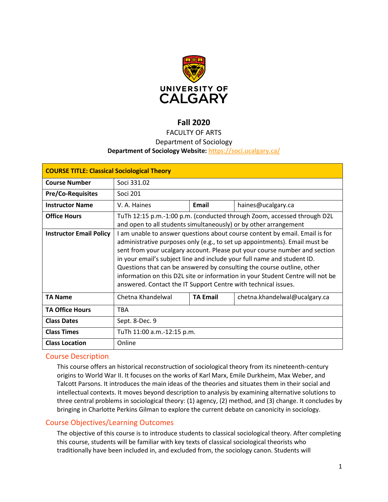

# **Fall 2020**

## FACULTY OF ARTS

#### Department of Sociology

## **Department of Sociology Website:<https://soci.ucalgary.ca/>**

| <b>COURSE TITLE: Classical Sociological Theory</b> |                                                                                                                                                                                                                                                                                                                                                                                                                                                                                                                                                  |                 |                               |  |  |
|----------------------------------------------------|--------------------------------------------------------------------------------------------------------------------------------------------------------------------------------------------------------------------------------------------------------------------------------------------------------------------------------------------------------------------------------------------------------------------------------------------------------------------------------------------------------------------------------------------------|-----------------|-------------------------------|--|--|
| <b>Course Number</b>                               | Soci 331.02                                                                                                                                                                                                                                                                                                                                                                                                                                                                                                                                      |                 |                               |  |  |
| <b>Pre/Co-Requisites</b>                           | Soci 201                                                                                                                                                                                                                                                                                                                                                                                                                                                                                                                                         |                 |                               |  |  |
| <b>Instructor Name</b>                             | V. A. Haines                                                                                                                                                                                                                                                                                                                                                                                                                                                                                                                                     | Email           | haines@ucalgary.ca            |  |  |
| <b>Office Hours</b>                                | TuTh 12:15 p.m.-1:00 p.m. (conducted through Zoom, accessed through D2L<br>and open to all students simultaneously) or by other arrangement                                                                                                                                                                                                                                                                                                                                                                                                      |                 |                               |  |  |
| <b>Instructor Email Policy</b>                     | I am unable to answer questions about course content by email. Email is for<br>administrative purposes only (e.g., to set up appointments). Email must be<br>sent from your ucalgary account. Please put your course number and section<br>in your email's subject line and include your full name and student ID.<br>Questions that can be answered by consulting the course outline, other<br>information on this D2L site or information in your Student Centre will not be<br>answered. Contact the IT Support Centre with technical issues. |                 |                               |  |  |
| <b>TA Name</b>                                     | Chetna Khandelwal                                                                                                                                                                                                                                                                                                                                                                                                                                                                                                                                | <b>TA Email</b> | chetna.khandelwal@ucalgary.ca |  |  |
| <b>TA Office Hours</b>                             | <b>TBA</b>                                                                                                                                                                                                                                                                                                                                                                                                                                                                                                                                       |                 |                               |  |  |
| <b>Class Dates</b>                                 | Sept. 8-Dec. 9                                                                                                                                                                                                                                                                                                                                                                                                                                                                                                                                   |                 |                               |  |  |
| <b>Class Times</b>                                 | TuTh 11:00 a.m.-12:15 p.m.                                                                                                                                                                                                                                                                                                                                                                                                                                                                                                                       |                 |                               |  |  |
| <b>Class Location</b>                              | Online                                                                                                                                                                                                                                                                                                                                                                                                                                                                                                                                           |                 |                               |  |  |

## Course Description

This course offers an historical reconstruction of sociological theory from its nineteenth-century origins to World War II. It focuses on the works of Karl Marx, Emile Durkheim, Max Weber, and Talcott Parsons. It introduces the main ideas of the theories and situates them in their social and intellectual contexts. It moves beyond description to analysis by examining alternative solutions to three central problems in sociological theory: (1) agency, (2) method, and (3) change. It concludes by bringing in Charlotte Perkins Gilman to explore the current debate on canonicity in sociology.

## Course Objectives/Learning Outcomes

The objective of this course is to introduce students to classical sociological theory. After completing this course, students will be familiar with key texts of classical sociological theorists who traditionally have been included in, and excluded from, the sociology canon. Students will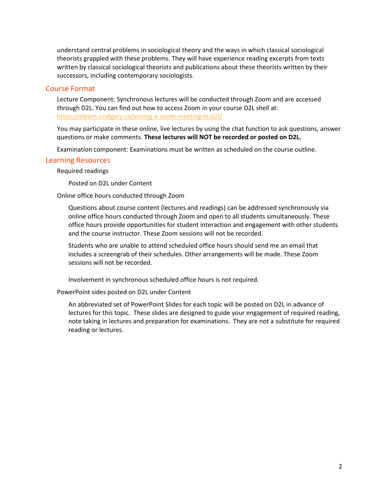understand central problems in sociological theory and the ways in which classical sociological theorists grappled with these problems. They will have experience reading excerpts from texts written by classical sociological theorists and publications about these theorists written by their successors, including contemporary sociologists.

#### Course Format

Lecture Component: Synchronous lectures will be conducted through Zoom and are accessed through D2L. You can find out how to access Zoom in your course D2L shell at: <https://elearn.ucalgary.ca/joining-a-zoom-meeting-in-d2l/>

You may participate in these online, live lectures by using the chat function to ask questions, answer questions or make comments. **These lectures will NOT be recorded or posted on D2L.**

Examination component: Examinations must be written as scheduled on the course outline.

#### Learning Resources

Required readings

Posted on D2L under Content

#### Online office hours conducted through Zoom

Questions about course content (lectures and readings) can be addressed synchronously via online office hours conducted through Zoom and open to all students simultaneously. These office hours provide opportunities for student interaction and engagement with other students and the course instructor. These Zoom sessions will not be recorded.

Students who are unable to attend scheduled office hours should send me an email that includes a screengrab of their schedules. Other arrangements will be made. These Zoom sessions will not be recorded.

Involvement in synchronous scheduled office hours is not required.

PowerPoint sides posted on D2L under Content

An abbreviated set of PowerPoint Slides for each topic will be posted on D2L in advance of lectures for this topic. These slides are designed to guide your engagement of required reading, note taking in lectures and preparation for examinations. They are not a substitute for required reading or lectures.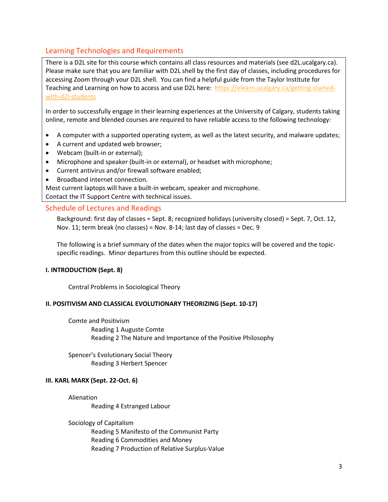# Learning Technologies and Requirements

There is a D2L site for this course which contains all class resources and materials (see d2L.ucalgary.ca). Please make sure that you are familiar with D2L shell by the first day of classes, including procedures for accessing Zoom through your D2L shell. You can find a helpful guide from the Taylor Institute for Teaching and Learning on how to access and use D2L here: [https://elearn.ucalgary.ca/getting-started](https://elearn.ucalgary.ca/getting-started-with-d2l-students)[with-d2l-students](https://elearn.ucalgary.ca/getting-started-with-d2l-students)

In order to successfully engage in their learning experiences at the University of Calgary, students taking online, remote and blended courses are required to have reliable access to the following technology:

- A computer with a supported operating system, as well as the latest security, and malware updates;
- A current and updated web browser;
- Webcam (built-in or external);
- Microphone and speaker (built-in or external), or headset with microphone;
- Current antivirus and/or firewall software enabled;
- Broadband internet connection.

Most current laptops will have a built-in webcam, speaker and microphone.

Contact the IT Support Centre with technical issues.

## Schedule of Lectures and Readings

Background: first day of classes = Sept. 8; recognized holidays (university closed) = Sept. 7, Oct. 12, Nov. 11; term break (no classes) = Nov. 8-14; last day of classes = Dec. 9

The following is a brief summary of the dates when the major topics will be covered and the topicspecific readings. Minor departures from this outline should be expected.

## **I. INTRODUCTION (Sept. 8)**

Central Problems in Sociological Theory

#### **II. POSITIVISM AND CLASSICAL EVOLUTIONARY THEORIZING (Sept. 10-17)**

Comte and Positivism Reading 1 Auguste Comte Reading 2 The Nature and Importance of the Positive Philosophy

Spencer's Evolutionary Social Theory Reading 3 Herbert Spencer

#### **III. KARL MARX (Sept. 22-Oct. 6)**

Alienation

Reading 4 Estranged Labour

#### Sociology of Capitalism

Reading 5 Manifesto of the Communist Party Reading 6 Commodities and Money Reading 7 Production of Relative Surplus-Value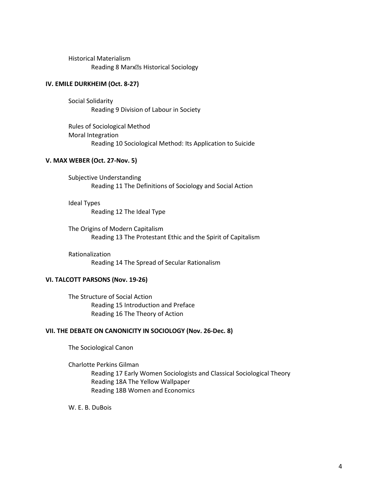Historical Materialism Reading 8 Marx<sup>R</sup>s Historical Sociology

#### **IV. EMILE DURKHEIM (Oct. 8-27)**

Social Solidarity Reading 9 Division of Labour in Society

Rules of Sociological Method Moral Integration Reading 10 Sociological Method: Its Application to Suicide

### **V. MAX WEBER (Oct. 27-Nov. 5)**

Subjective Understanding Reading 11 The Definitions of Sociology and Social Action

Ideal Types Reading 12 The Ideal Type

The Origins of Modern Capitalism Reading 13 The Protestant Ethic and the Spirit of Capitalism

Rationalization Reading 14 The Spread of Secular Rationalism

#### **VI. TALCOTT PARSONS (Nov. 19-26)**

The Structure of Social Action Reading 15 Introduction and Preface Reading 16 The Theory of Action

#### **VII. THE DEBATE ON CANONICITY IN SOCIOLOGY (Nov. 26-Dec. 8)**

The Sociological Canon

Charlotte Perkins Gilman Reading 17 Early Women Sociologists and Classical Sociological Theory Reading 18A The Yellow Wallpaper Reading 18B Women and Economics

W. E. B. DuBois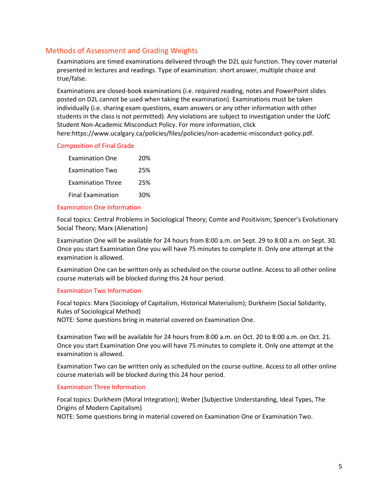## Methods of Assessment and Grading Weights

Examinations are timed examinations delivered through the D2L quiz function. They cover material presented in lectures and readings. Type of examination: short answer, multiple choice and true/false.

Examinations are closed-book examinations (i.e. required reading, notes and PowerPoint slides posted on D2L cannot be used when taking the examination). Examinations must be taken individually (i.e. sharing exam questions, exam answers or any other information with other students in the class is not permitted). Any violations are subject to investigation under the UofC Student Non-Academic Misconduct Policy. For more information, click

# here:https://www.ucalgary.ca/policies/files/policies/non-academic-misconduct-policy.pdf.

#### Composition of Final Grade

| <b>Examination One</b>   | 20% |
|--------------------------|-----|
| <b>Examination Two</b>   | 25% |
| <b>Examination Three</b> | 25% |
| <b>Final Examination</b> | 30% |

#### Examination One Information

Focal topics: Central Problems in Sociological Theory; Comte and Positivism; Spencer's Evolutionary Social Theory; Marx (Alienation)

Examination One will be available for 24 hours from 8:00 a.m. on Sept. 29 to 8:00 a.m. on Sept. 30. Once you start Examination One you will have 75 minutes to complete it. Only one attempt at the examination is allowed.

Examination One can be written only as scheduled on the course outline. Access to all other online course materials will be blocked during this 24 hour period.

#### Examination Two Information

Focal topics: Marx (Sociology of Capitalism, Historical Materialism); Durkheim (Social Solidarity, Rules of Sociological Method) NOTE: Some questions bring in material covered on Examination One.

Examination Two will be available for 24 hours from 8:00 a.m. on Oct. 20 to 8:00 a.m. on Oct. 21. Once you start Examination One you will have 75 minutes to complete it. Only one attempt at the examination is allowed.

Examination Two can be written only as scheduled on the course outline. Access to all other online course materials will be blocked during this 24 hour period.

#### Examination Three Information

Focal topics: Durkheim (Moral Integration); Weber (Subjective Understanding, Ideal Types, The Origins of Modern Capitalism)

NOTE: Some questions bring in material covered on Examination One or Examination Two.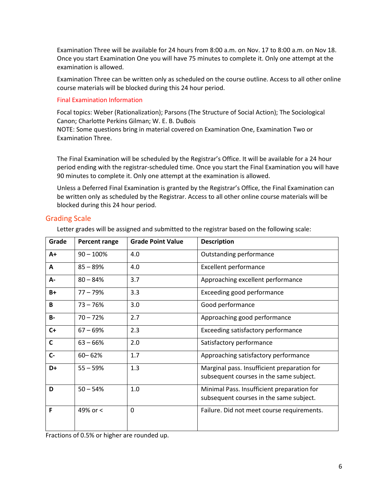Examination Three will be available for 24 hours from 8:00 a.m. on Nov. 17 to 8:00 a.m. on Nov 18. Once you start Examination One you will have 75 minutes to complete it. Only one attempt at the examination is allowed.

Examination Three can be written only as scheduled on the course outline. Access to all other online course materials will be blocked during this 24 hour period.

#### Final Examination Information

Focal topics: Weber (Rationalization); Parsons (The Structure of Social Action); The Sociological Canon; Charlotte Perkins Gilman; W. E. B. DuBois

NOTE: Some questions bring in material covered on Examination One, Examination Two or Examination Three.

The Final Examination will be scheduled by the Registrar's Office. It will be available for a 24 hour period ending with the registrar-scheduled time. Once you start the Final Examination you will have 90 minutes to complete it. Only one attempt at the examination is allowed.

Unless a Deferred Final Examination is granted by the Registrar's Office, the Final Examination can be written only as scheduled by the Registrar. Access to all other online course materials will be blocked during this 24 hour period.

# Grading Scale

Letter grades will be assigned and submitted to the registrar based on the following scale:

| Grade        | Percent range | <b>Grade Point Value</b> | <b>Description</b>                                                                     |
|--------------|---------------|--------------------------|----------------------------------------------------------------------------------------|
| A+           | $90 - 100%$   | 4.0                      | Outstanding performance                                                                |
| Α            | $85 - 89%$    | 4.0                      | <b>Excellent performance</b>                                                           |
| А-           | $80 - 84%$    | 3.7                      | Approaching excellent performance                                                      |
| $B+$         | $77 - 79%$    | 3.3                      | Exceeding good performance                                                             |
| B            | $73 - 76%$    | 3.0                      | Good performance                                                                       |
| <b>B-</b>    | $70 - 72%$    | 2.7                      | Approaching good performance                                                           |
| $C+$         | $67 - 69%$    | 2.3                      | Exceeding satisfactory performance                                                     |
| $\mathsf{C}$ | $63 - 66%$    | 2.0                      | Satisfactory performance                                                               |
| $C -$        | $60 - 62%$    | 1.7                      | Approaching satisfactory performance                                                   |
| D+           | $55 - 59%$    | 1.3                      | Marginal pass. Insufficient preparation for<br>subsequent courses in the same subject. |
| D            | $50 - 54%$    | 1.0                      | Minimal Pass. Insufficient preparation for<br>subsequent courses in the same subject.  |
| F            | 49% or <      | 0                        | Failure. Did not meet course requirements.                                             |

Fractions of 0.5% or higher are rounded up.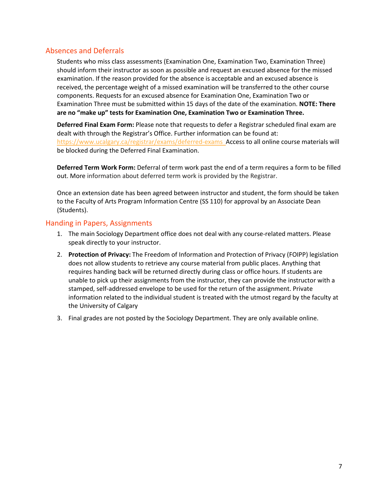## Absences and Deferrals

Students who miss class assessments (Examination One, Examination Two, Examination Three) should inform their instructor as soon as possible and request an excused absence for the missed examination. If the reason provided for the absence is acceptable and an excused absence is received, the percentage weight of a missed examination will be transferred to the other course components. Requests for an excused absence for Examination One, Examination Two or Examination Three must be submitted within 15 days of the date of the examination. **NOTE: There are no "make up" tests for Examination One, Examination Two or Examination Three.**

**Deferred Final Exam Form:** Please note that requests to defer a Registrar scheduled final exam are dealt with through the Registrar's Office. Further information can be found at: <https://www.ucalgary.ca/registrar/exams/deferred-exams>Access to all online course materials will be blocked during the Deferred Final Examination.

**Deferred Term Work Form:** Deferral of term work past the end of a term requires a form to be filled out. More information about deferred term work is provided by the Registrar.

Once an extension date has been agreed between instructor and student, the form should be taken to the Faculty of Arts Program Information Centre (SS 110) for approval by an Associate Dean (Students).

## Handing in Papers, Assignments

- 1. The main Sociology Department office does not deal with any course-related matters. Please speak directly to your instructor.
- 2. **Protection of Privacy:** The Freedom of Information and Protection of Privacy (FOIPP) legislation does not allow students to retrieve any course material from public places. Anything that requires handing back will be returned directly during class or office hours. If students are unable to pick up their assignments from the instructor, they can provide the instructor with a stamped, self-addressed envelope to be used for the return of the assignment. Private information related to the individual student is treated with the utmost regard by the faculty at the University of Calgary
- 3. Final grades are not posted by the Sociology Department. They are only available online.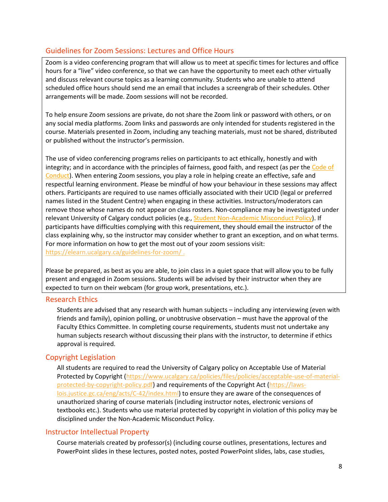## Guidelines for Zoom Sessions: Lectures and Office Hours

Zoom is a video conferencing program that will allow us to meet at specific times for lectures and office hours for a "live" video conference, so that we can have the opportunity to meet each other virtually and discuss relevant course topics as a learning community. Students who are unable to attend scheduled office hours should send me an email that includes a screengrab of their schedules. Other arrangements will be made. Zoom sessions will not be recorded.

To help ensure Zoom sessions are private, do not share the Zoom link or password with others, or on any social media platforms. Zoom links and passwords are only intended for students registered in the course. Materials presented in Zoom, including any teaching materials, must not be shared, distributed or published without the instructor's permission.

The use of video conferencing programs relies on participants to act ethically, honestly and with integrity; and in accordance with the principles of fairness, good faith, and respect (as per the Code of [Conduct\)](https://www.ucalgary.ca/policies/files/policies/code-of-conduct.pdf). When entering Zoom sessions, you play a role in helping create an effective, safe and respectful learning environment. Please be mindful of how your behaviour in these sessions may affect others. Participants are required to use names officially associated with their UCID (legal or preferred names listed in the Student Centre) when engaging in these activities. Instructors/moderators can remove those whose names do not appear on class rosters. Non-compliance may be investigated under relevant University of Calgary conduct policies (e.g., [Student Non-Academic Misconduct Policy\)](https://ucalgary.ca/policies/files/policies/non-academic-misconduct-policy.pdf). If participants have difficulties complying with this requirement, they should email the instructor of the class explaining why, so the instructor may consider whether to grant an exception, and on what terms. For more information on how to get the most out of your zoom sessions visit: <https://elearn.ucalgary.ca/guidelines-for-zoom/> .

Please be prepared, as best as you are able, to join class in a quiet space that will allow you to be fully present and engaged in Zoom sessions. Students will be advised by their instructor when they are expected to turn on their webcam (for group work, presentations, etc.).

#### Research Ethics

Students are advised that any research with human subjects – including any interviewing (even with friends and family), opinion polling, or unobtrusive observation – must have the approval of the Faculty Ethics Committee. In completing course requirements, students must not undertake any human subjects research without discussing their plans with the instructor, to determine if ethics approval is required.

## Copyright Legislation

All students are required to read the University of Calgary policy on Acceptable Use of Material Protected by Copyright [\(https://www.ucalgary.ca/policies/files/policies/acceptable-use-of-material](https://www.ucalgary.ca/policies/files/policies/acceptable-use-of-material-protected-by-copyright-policy.pdf)[protected-by-copyright-policy.pdf\)](https://www.ucalgary.ca/policies/files/policies/acceptable-use-of-material-protected-by-copyright-policy.pdf) and requirements of the Copyright Act [\(https://laws](https://laws-lois.justice.gc.ca/eng/acts/C-42/index.html)[lois.justice.gc.ca/eng/acts/C-42/index.html\)](https://laws-lois.justice.gc.ca/eng/acts/C-42/index.html) to ensure they are aware of the consequences of unauthorized sharing of course materials (including instructor notes, electronic versions of textbooks etc.). Students who use material protected by copyright in violation of this policy may be disciplined under the Non-Academic Misconduct Policy.

## Instructor Intellectual Property

Course materials created by professor(s) (including course outlines, presentations, lectures and PowerPoint slides in these lectures, posted notes, posted PowerPoint slides, labs, case studies,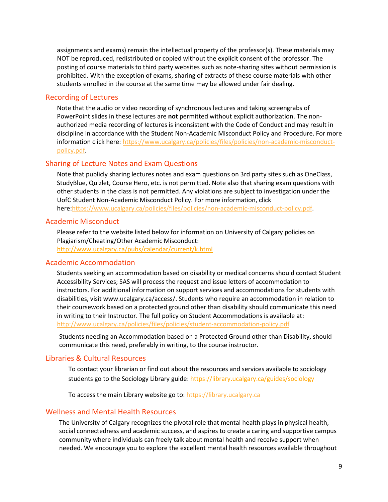assignments and exams) remain the intellectual property of the professor(s). These materials may NOT be reproduced, redistributed or copied without the explicit consent of the professor. The posting of course materials to third party websites such as note-sharing sites without permission is prohibited. With the exception of exams, sharing of extracts of these course materials with other students enrolled in the course at the same time may be allowed under fair dealing.

## Recording of Lectures

Note that the audio or video recording of synchronous lectures and taking screengrabs of PowerPoint slides in these lectures are **not** permitted without explicit authorization. The nonauthorized media recording of lectures is inconsistent with the Code of Conduct and may result in discipline in accordance with the Student Non-Academic Misconduct Policy and Procedure. For more information click here: [https://www.ucalgary.ca/policies/files/policies/non-academic-misconduct](https://www.ucalgary.ca/policies/files/policies/non-academic-misconduct-policy.pdf)[policy.pdf.](https://www.ucalgary.ca/policies/files/policies/non-academic-misconduct-policy.pdf)

## Sharing of Lecture Notes and Exam Questions

Note that publicly sharing lectures notes and exam questions on 3rd party sites such as OneClass, StudyBlue, Quizlet, Course Hero, etc. is not permitted. Note also that sharing exam questions with other students in the class is not permitted. Any violations are subject to investigation under the UofC Student Non-Academic Misconduct Policy. For more information, click here[:https://www.ucalgary.ca/policies/files/policies/non-academic-misconduct-policy.pdf.](https://www.ucalgary.ca/policies/files/policies/non-academic-misconduct-policy.pdf)

#### Academic Misconduct

Please refer to the website listed below for information on University of Calgary policies on Plagiarism/Cheating/Other Academic Misconduct: <http://www.ucalgary.ca/pubs/calendar/current/k.html>

#### Academic Accommodation

Students seeking an accommodation based on disability or medical concerns should contact Student Accessibility Services; SAS will process the request and issue letters of accommodation to instructors. For additional information on support services and accommodations for students with disabilities, visit www.ucalgary.ca/access/. Students who require an accommodation in relation to their coursework based on a protected ground other than disability should communicate this need in writing to their Instructor. The full policy on Student Accommodations is available at: <http://www.ucalgary.ca/policies/files/policies/student-accommodation-policy.pdf>

Students needing an Accommodation based on a Protected Ground other than Disability, should communicate this need, preferably in writing, to the course instructor.

#### Libraries & Cultural Resources

To contact your librarian or find out about the resources and services available to sociology students go to the Sociology Library guide[: https://library.ucalgary.ca/guides/sociology](https://library.ucalgary.ca/guides/sociology)

To access the main Library website go to: [https://library.ucalgary.ca](https://library.ucalgary.ca/)

#### Wellness and Mental Health Resources

The University of Calgary recognizes the pivotal role that mental health plays in physical health, social connectedness and academic success, and aspires to create a caring and supportive campus community where individuals can freely talk about mental health and receive support when needed. We encourage you to explore the excellent mental health resources available throughout